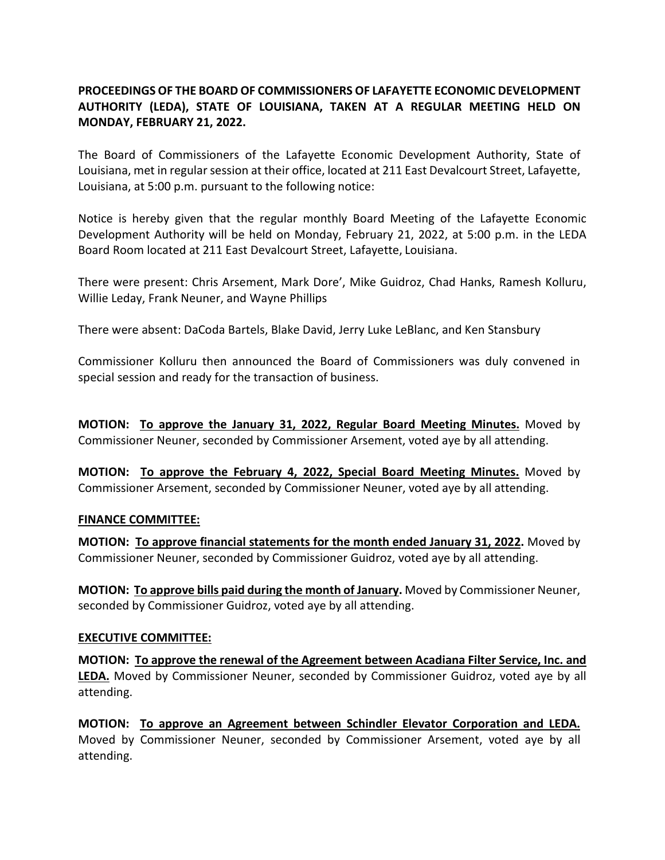## **PROCEEDINGS OF THE BOARD OF COMMISSIONERS OF LAFAYETTE ECONOMIC DEVELOPMENT AUTHORITY (LEDA), STATE OF LOUISIANA, TAKEN AT A REGULAR MEETING HELD ON MONDAY, FEBRUARY 21, 2022.**

The Board of Commissioners of the Lafayette Economic Development Authority, State of Louisiana, met in regular session at their office, located at 211 East Devalcourt Street, Lafayette, Louisiana, at 5:00 p.m. pursuant to the following notice:

Notice is hereby given that the regular monthly Board Meeting of the Lafayette Economic Development Authority will be held on Monday, February 21, 2022, at 5:00 p.m. in the LEDA Board Room located at 211 East Devalcourt Street, Lafayette, Louisiana.

There were present: Chris Arsement, Mark Dore', Mike Guidroz, Chad Hanks, Ramesh Kolluru, Willie Leday, Frank Neuner, and Wayne Phillips

There were absent: DaCoda Bartels, Blake David, Jerry Luke LeBlanc, and Ken Stansbury

Commissioner Kolluru then announced the Board of Commissioners was duly convened in special session and ready for the transaction of business.

**MOTION: To approve the January 31, 2022, Regular Board Meeting Minutes.** Moved by Commissioner Neuner, seconded by Commissioner Arsement, voted aye by all attending.

**MOTION: To approve the February 4, 2022, Special Board Meeting Minutes.** Moved by Commissioner Arsement, seconded by Commissioner Neuner, voted aye by all attending.

## **FINANCE COMMITTEE:**

**MOTION: To approve financial statements for the month ended January 31, 2022.** Moved by Commissioner Neuner, seconded by Commissioner Guidroz, voted aye by all attending.

**MOTION: To approve bills paid during the month of January.** Moved by Commissioner Neuner, seconded by Commissioner Guidroz, voted aye by all attending.

## **EXECUTIVE COMMITTEE:**

**MOTION: To approve the renewal of the Agreement between Acadiana Filter Service, Inc. and LEDA.** Moved by Commissioner Neuner, seconded by Commissioner Guidroz, voted aye by all attending.

**MOTION: To approve an Agreement between Schindler Elevator Corporation and LEDA.** Moved by Commissioner Neuner, seconded by Commissioner Arsement, voted aye by all attending.